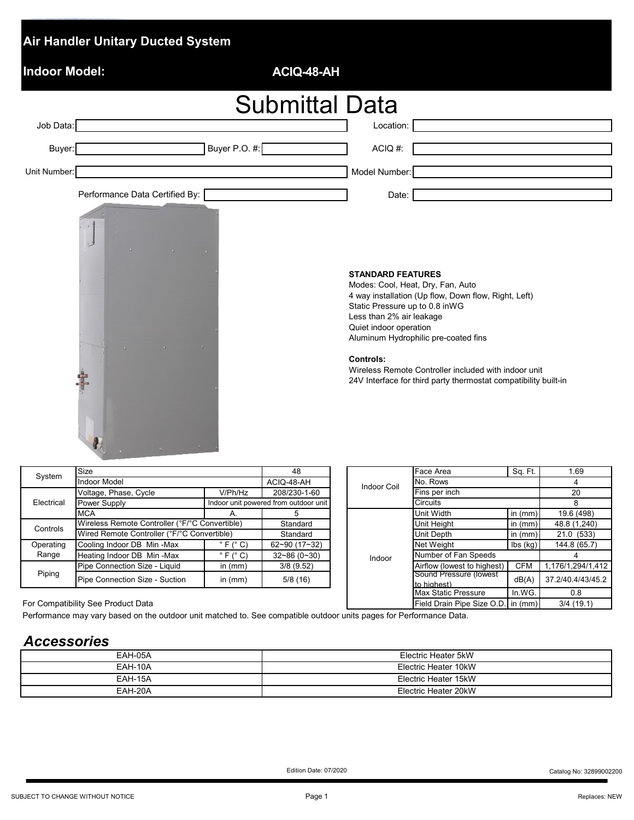| <b>Air Handler Unitary Ducted System</b> |               |                       |                                                                                                                                                                                                                                                                                                                                                                                                      |         |           |
|------------------------------------------|---------------|-----------------------|------------------------------------------------------------------------------------------------------------------------------------------------------------------------------------------------------------------------------------------------------------------------------------------------------------------------------------------------------------------------------------------------------|---------|-----------|
| <b>Indoor Model:</b>                     |               | ACIQ-48-AH            |                                                                                                                                                                                                                                                                                                                                                                                                      |         |           |
|                                          |               | <b>Submittal Data</b> |                                                                                                                                                                                                                                                                                                                                                                                                      |         |           |
| Job Data:                                |               |                       | Location:                                                                                                                                                                                                                                                                                                                                                                                            |         |           |
| Buyer:                                   | Buyer P.O. #: |                       | ACIQ #:                                                                                                                                                                                                                                                                                                                                                                                              |         |           |
| Unit Number:                             |               |                       | Model Number:                                                                                                                                                                                                                                                                                                                                                                                        |         |           |
| Performance Data Certified By:           |               |                       | Date:                                                                                                                                                                                                                                                                                                                                                                                                |         |           |
| ار ،                                     |               |                       | <b>STANDARD FEATURES</b><br>Modes: Cool, Heat, Dry, Fan, Auto<br>4 way installation (Up flow, Down flow, Right, Left)<br>Static Pressure up to 0.8 inWG<br>Less than 2% air leakage<br>Quiet indoor operation<br>Aluminum Hydrophilic pre-coated fins<br><b>Controls:</b><br>Wireless Remote Controller included with indoor unit<br>24V Interface for third party thermostat compatibility built-in |         |           |
| Size<br>System<br><b>Indoor Model</b>    |               | 48<br>$ACIO-48-AH$    | Face Area<br>No Rows                                                                                                                                                                                                                                                                                                                                                                                 | Sq. Ft. | 1.69<br>4 |

| System     | <b>Size</b>                                    |                            | 48                                    |  | Indoor Coil | Face Area                             | Sq. Ft.                     | 1.69            |
|------------|------------------------------------------------|----------------------------|---------------------------------------|--|-------------|---------------------------------------|-----------------------------|-----------------|
|            | <b>Indoor Model</b>                            |                            | ACIQ-48-AH                            |  |             | No. Rows                              |                             |                 |
|            | Voltage, Phase, Cycle                          | V/Ph/Hz                    | 208/230-1-60                          |  |             | Fins per inch                         |                             | 20              |
| Electrical | Power Supply                                   |                            | Indoor unit powered from outdoor unit |  |             | <b>Circuits</b>                       |                             |                 |
|            | <b>MCA</b>                                     |                            |                                       |  |             | Unit Width                            | in $(mm)$                   | 19.6 (498)      |
| Controls   | Wireless Remote Controller (°F/°C Convertible) |                            | Standard                              |  |             | Unit Height                           | in $(mm)$                   | 48.8 (1,240)    |
|            | Wired Remote Controller (°F/°C Convertible)    |                            | Standard                              |  |             | Unit Depth                            | in $(mm)$                   | 21.0 (533)      |
| Operating  | Cooling Indoor DB Min-Max                      | $\degree$ F ( $\degree$ C) | $62 - 90(17 - 32)$                    |  |             | Net Weight                            | $\mathsf{lbs}(\mathsf{kg})$ | 144.8 (65.7)    |
| Range      | Heating Indoor DB Min-Max                      | $\degree$ F ( $\degree$ C) | $32 - 86(0 - 30)$                     |  | Indoor      | Number of Fan Speeds                  |                             |                 |
|            | Pipe Connection Size - Liquid                  | in $(mm)$                  | 3/8(9.52)                             |  |             | Airflow (lowest to highest)           | <b>CFM</b>                  | 176/1,294/1,41. |
| Piping     | Pipe Connection Size - Suction                 | in $(mm)$                  | 5/8(16)                               |  |             | Sound Pressure (lowest<br>to highest) | dB(A)                       | 37.2/40.4/43/45 |

|                                                                                                           | Size                                                                                                             |                            |                                       |  | <b>Indoor Coil</b>          | Face Area                                 | Sq. Ft.                              | 1.69              |
|-----------------------------------------------------------------------------------------------------------|------------------------------------------------------------------------------------------------------------------|----------------------------|---------------------------------------|--|-----------------------------|-------------------------------------------|--------------------------------------|-------------------|
| System                                                                                                    | <b>Indoor Model</b>                                                                                              |                            | ACIQ-48-AH                            |  |                             | No. Rows                                  |                                      |                   |
|                                                                                                           | Voltage, Phase, Cycle                                                                                            | V/Ph/Hz                    | 208/230-1-60                          |  |                             | Fins per inch                             |                                      | 20                |
| Electrical                                                                                                | Power Supply                                                                                                     |                            | Indoor unit powered from outdoor unit |  |                             | <b>Circuits</b>                           |                                      | 8                 |
|                                                                                                           | <b>MCA</b>                                                                                                       |                            |                                       |  | Unit Width                  | in $(mm)$                                 | 19.6 (498)                           |                   |
| Wireless Remote Controller (°F/°C Convertible)<br>Controls<br>Wired Remote Controller (°F/°C Convertible) |                                                                                                                  |                            | Standard                              |  |                             | Unit Height                               | in $(mm)$                            | 48.8 (1,240)      |
|                                                                                                           |                                                                                                                  |                            | Standard                              |  | Unit Depth                  | in $(mm)$                                 | 21.0 (533)                           |                   |
| Operating                                                                                                 | Cooling Indoor DB Min-Max                                                                                        | $\degree$ F ( $\degree$ C) | $62 - 90(17 - 32)$                    |  |                             | <b>Net Weight</b>                         | $\mathsf{lbs}(\mathsf{k}\mathsf{g})$ | 144.8 (65.7)      |
| Range                                                                                                     | Heating Indoor DB Min-Max                                                                                        | $\degree$ F ( $\degree$ C) | $32 - 86(0 - 30)$                     |  | Indoor                      | Number of Fan Speeds                      |                                      |                   |
| Piping                                                                                                    | Pipe Connection Size - Liquid                                                                                    | in $(mm)$                  | 3/8(9.52)                             |  | Airflow (lowest to highest) | <b>CFM</b>                                | 1,176/1,294/1,412                    |                   |
|                                                                                                           | Pipe Connection Size - Suction                                                                                   | in $(mm)$                  | 5/8(16)                               |  |                             | Sound Pressure (lowest                    | dB(A)                                | 37.2/40.4/43/45.2 |
|                                                                                                           |                                                                                                                  |                            |                                       |  |                             | to highest)<br><b>Max Static Pressure</b> | In.WG.                               | 0.8               |
|                                                                                                           | For Compatibility See Product Data                                                                               |                            |                                       |  |                             | Field Drain Pipe Size O.D. in (mm)        |                                      | 3/4(19.1)         |
|                                                                                                           | Derformance mouvery board on the outdoor unit metabod to See compatible outdoor unite nages for Derformance Data |                            |                                       |  |                             |                                           |                                      |                   |

Performance may vary based on the outdoor unit matched to. See compatible outdoor units pages for Performance Data.

## *Accessories*

| EAH-05A | Electric Heater 5kW  |
|---------|----------------------|
| EAH-10A | Electric Heater 10kW |
| EAH-15A | Electric Heater 15kW |
| EAH-20A | Electric Heater 20kW |